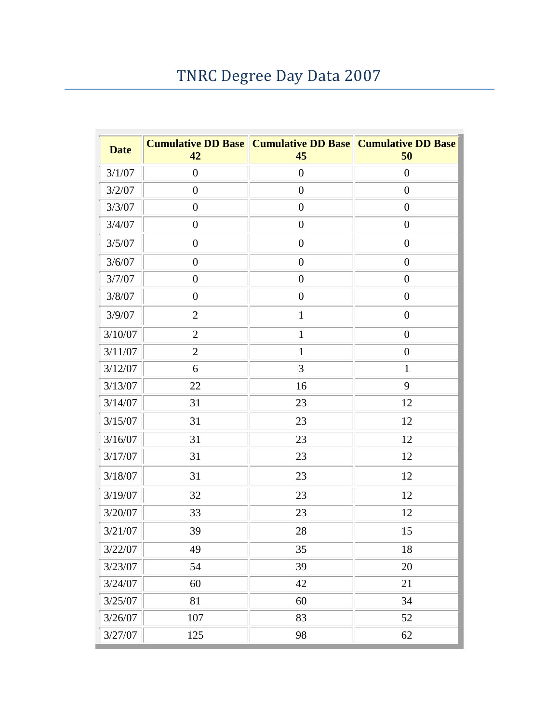## TNRC Degree Day Data 2007

| <b>Date</b> | 42               | <b>Cumulative DD Base   Cumulative DD Base   Cumulative DD Base</b><br>45 | 50               |
|-------------|------------------|---------------------------------------------------------------------------|------------------|
| 3/1/07      | $\boldsymbol{0}$ | $\boldsymbol{0}$                                                          | $\boldsymbol{0}$ |
| 3/2/07      | $\boldsymbol{0}$ | $\boldsymbol{0}$                                                          | $\boldsymbol{0}$ |
| 3/3/07      | $\boldsymbol{0}$ | $\boldsymbol{0}$                                                          | $\boldsymbol{0}$ |
| 3/4/07      | $\boldsymbol{0}$ | $\boldsymbol{0}$                                                          | $\boldsymbol{0}$ |
| 3/5/07      | $\boldsymbol{0}$ | $\boldsymbol{0}$                                                          | $\boldsymbol{0}$ |
| 3/6/07      | $\boldsymbol{0}$ | $\boldsymbol{0}$                                                          | $\boldsymbol{0}$ |
| 3/7/07      | $\boldsymbol{0}$ | $\boldsymbol{0}$                                                          | $\boldsymbol{0}$ |
| 3/8/07      | $\boldsymbol{0}$ | $\boldsymbol{0}$                                                          | $\boldsymbol{0}$ |
| 3/9/07      | $\mathfrak{2}$   | $\mathbf{1}$                                                              | $\boldsymbol{0}$ |
| 3/10/07     | $\mathfrak{2}$   | $\mathbf{1}$                                                              | $\boldsymbol{0}$ |
| 3/11/07     | $\overline{2}$   | $\mathbf{1}$                                                              | $\boldsymbol{0}$ |
| 3/12/07     | 6                | 3                                                                         | $\mathbf{1}$     |
| 3/13/07     | 22               | 16                                                                        | 9                |
| 3/14/07     | 31               | 23                                                                        | 12               |
| 3/15/07     | 31               | 23                                                                        | 12               |
| 3/16/07     | 31               | 23                                                                        | 12               |
| 3/17/07     | 31               | 23                                                                        | 12               |
| 3/18/07     | 31               | 23                                                                        | 12               |
| 3/19/07     | 32               | 23                                                                        | 12               |
| 3/20/07     | 33               | 23                                                                        | 12               |
| 3/21/07     | 39               | 28                                                                        | 15               |
| 3/22/07     | 49               | 35                                                                        | 18               |
| 3/23/07     | 54               | 39                                                                        | 20               |
| 3/24/07     | 60               | 42                                                                        | 21               |
| 3/25/07     | 81               | 60                                                                        | 34               |
| 3/26/07     | $107\,$          | 83                                                                        | 52               |
| 3/27/07     | 125              | 98                                                                        | 62               |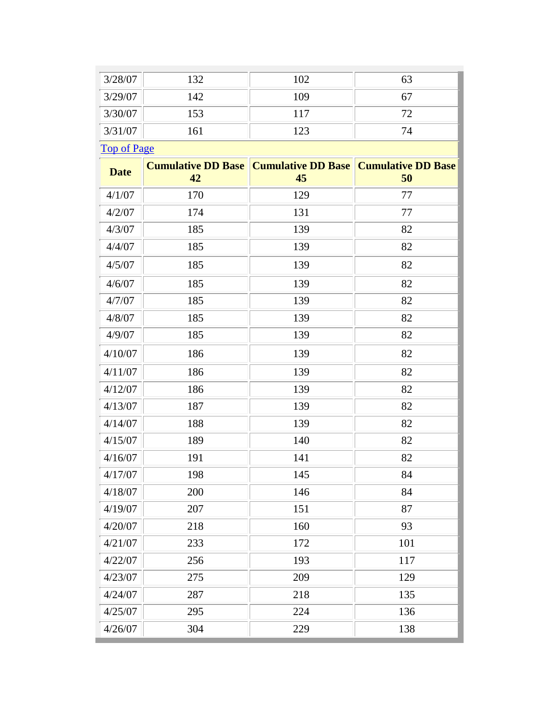| 3/28/07            | 132                             | 102                                                  | 63  |
|--------------------|---------------------------------|------------------------------------------------------|-----|
| 3/29/07            | 142                             | 109                                                  | 67  |
| 3/30/07            | 153                             | 117                                                  | 72  |
| 3/31/07            | 161                             | 123                                                  | 74  |
| <b>Top of Page</b> |                                 |                                                      |     |
| <b>Date</b>        | <b>Cumulative DD Base</b><br>42 | <b>Cumulative DD Base   Cumulative DD Base</b><br>45 | 50  |
| 4/1/07             | 170                             | 129                                                  | 77  |
| 4/2/07             | 174                             | 131                                                  | 77  |
| 4/3/07             | 185                             | 139                                                  | 82  |
| 4/4/07             | 185                             | 139                                                  | 82  |
| 4/5/07             | 185                             | 139                                                  | 82  |
| 4/6/07             | 185                             | 139                                                  | 82  |
| 4/7/07             | 185                             | 139                                                  | 82  |
| 4/8/07             | 185                             | 139                                                  | 82  |
| 4/9/07             | 185                             | 139                                                  | 82  |
| 4/10/07            | 186                             | 139                                                  | 82  |
| 4/11/07            | 186                             | 139                                                  | 82  |
| 4/12/07            | 186                             | 139                                                  | 82  |
| 4/13/07            | 187                             | 139                                                  | 82  |
| 4/14/07            | 188                             | 139                                                  | 82  |
| 4/15/07            | 189                             | 140                                                  | 82  |
| 4/16/07            | 191                             | 141                                                  | 82  |
| 4/17/07            | 198                             | 145                                                  | 84  |
| 4/18/07            | 200                             | 146                                                  | 84  |
| 4/19/07            | 207                             | 151                                                  | 87  |
| 4/20/07            | 218                             | 160                                                  | 93  |
| 4/21/07            | 233                             | 172                                                  | 101 |
| 4/22/07            | 256                             | 193                                                  | 117 |
| 4/23/07            | 275                             | 209                                                  | 129 |
| 4/24/07            | 287                             | 218                                                  | 135 |
| 4/25/07            | 295                             | 224                                                  | 136 |
| 4/26/07            | 304                             | 229                                                  | 138 |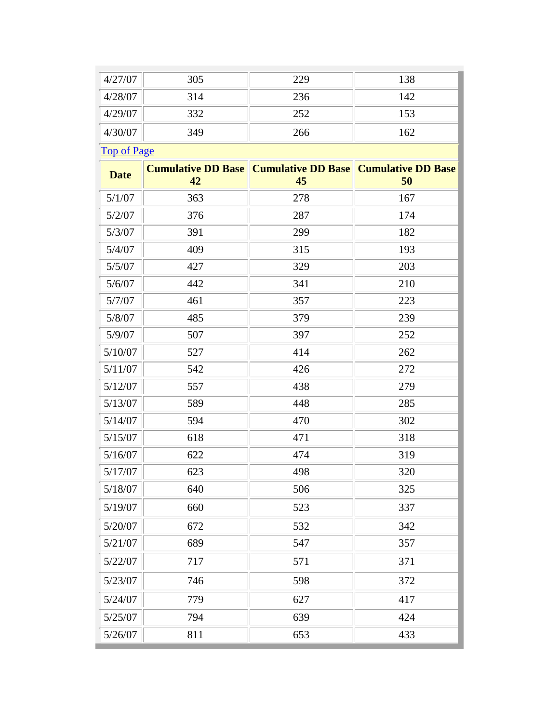| 4/27/07            | 305                             | 229                             | 138                             |
|--------------------|---------------------------------|---------------------------------|---------------------------------|
| 4/28/07            | 314                             | 236                             | 142                             |
| 4/29/07            | 332                             | 252                             | 153                             |
| 4/30/07            | 349                             | 266                             | 162                             |
| <b>Top of Page</b> |                                 |                                 |                                 |
| <b>Date</b>        | <b>Cumulative DD Base</b><br>42 | <b>Cumulative DD Base</b><br>45 | <b>Cumulative DD Base</b><br>50 |
| 5/1/07             | 363                             | 278                             | 167                             |
| 5/2/07             | 376                             | 287                             | 174                             |
| 5/3/07             | 391                             | 299                             | 182                             |
| 5/4/07             | 409                             | 315                             | 193                             |
| 5/5/07             | 427                             | 329                             | 203                             |
| 5/6/07             | 442                             | 341                             | 210                             |
| 5/7/07             | 461                             | 357                             | 223                             |
| 5/8/07             | 485                             | 379                             | 239                             |
| 5/9/07             | 507                             | 397                             | 252                             |
| 5/10/07            | 527                             | 414                             | 262                             |
| 5/11/07            | 542                             | 426                             | 272                             |
| 5/12/07            | 557                             | 438                             | 279                             |
| 5/13/07            | 589                             | 448                             | 285                             |
| 5/14/07            | 594                             | 470                             | 302                             |
| 5/15/07            | 618                             | 471                             | 318                             |
| 5/16/07            | 622                             | 474                             | 319                             |
| 5/17/07            | 623                             | 498                             | 320                             |
| 5/18/07            | 640                             | 506                             | 325                             |
| 5/19/07            | 660                             | 523                             | 337                             |
| 5/20/07            | 672                             | 532                             | 342                             |
| 5/21/07            | 689                             | 547                             | 357                             |
| 5/22/07            | 717                             | 571                             | 371                             |
| 5/23/07            | 746                             | 598                             | 372                             |
| 5/24/07            | 779                             | 627                             | 417                             |
| 5/25/07            | 794                             | 639                             | 424                             |
| 5/26/07            | 811                             | 653                             | 433                             |
|                    |                                 |                                 |                                 |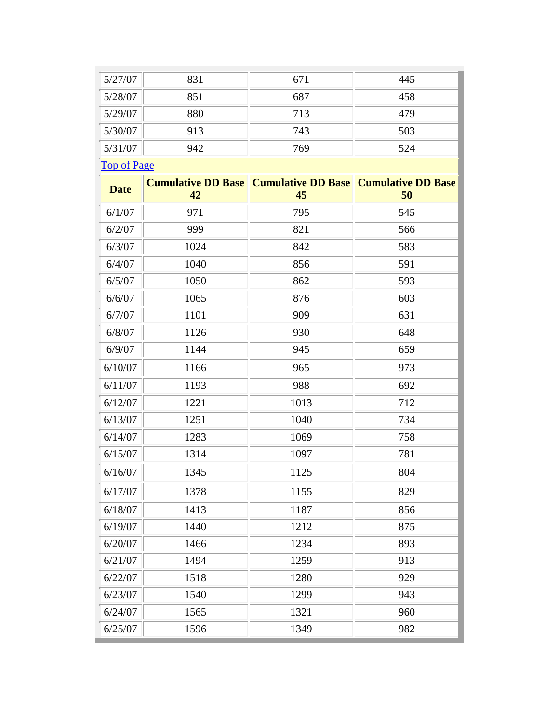| 5/27/07            | 831                       | 671                       | 445                       |
|--------------------|---------------------------|---------------------------|---------------------------|
| 5/28/07            | 851                       | 687                       | 458                       |
| 5/29/07            | 880                       | 713                       | 479                       |
| 5/30/07            | 913                       | 743                       | 503                       |
| 5/31/07            | 942                       | 769                       | 524                       |
| <b>Top of Page</b> |                           |                           |                           |
| <b>Date</b>        | <b>Cumulative DD Base</b> | <b>Cumulative DD Base</b> | <b>Cumulative DD Base</b> |
|                    | 42                        | 45                        | 50                        |
| 6/1/07             | 971                       | 795                       | 545                       |
| 6/2/07             | 999                       | 821                       | 566                       |
| 6/3/07             | 1024                      | 842                       | 583                       |
| 6/4/07             | 1040                      | 856                       | 591                       |
| 6/5/07             | 1050                      | 862                       | 593                       |
| 6/6/07             | 1065                      | 876                       | 603                       |
| 6/7/07             | 1101                      | 909                       | 631                       |
| 6/8/07             | 1126                      | 930                       | 648                       |
| 6/9/07             | 1144                      | 945                       | 659                       |
| 6/10/07            | 1166                      | 965                       | 973                       |
| 6/11/07            | 1193                      | 988                       | 692                       |
| 6/12/07            | 1221                      | 1013                      | 712                       |
| 6/13/07            | 1251                      | 1040                      | 734                       |
| 6/14/07            | 1283                      | 1069                      | 758                       |
| 6/15/07            | 1314                      | 1097                      | 781                       |
| 6/16/07            | 1345                      | 1125                      | 804                       |
| 6/17/07            | 1378                      | 1155                      | 829                       |
| 6/18/07            | 1413                      | 1187                      | 856                       |
| 6/19/07            | 1440                      | 1212                      | 875                       |
| 6/20/07            | 1466                      | 1234                      | 893                       |
| 6/21/07            | 1494                      | 1259                      | 913                       |
| 6/22/07            | 1518                      | 1280                      | 929                       |
| 6/23/07            | 1540                      | 1299                      | 943                       |
| 6/24/07            | 1565                      | 1321                      | 960                       |
| 6/25/07            | 1596                      | 1349                      | 982                       |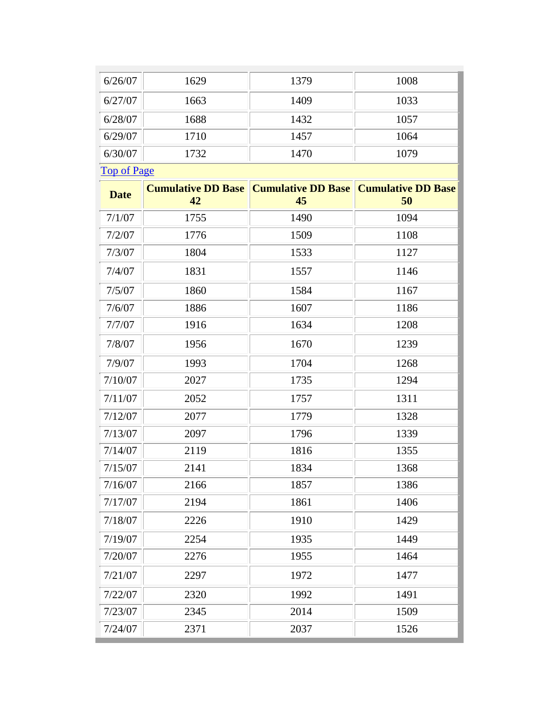| 6/26/07            | 1629                            | 1379                            | 1008                            |
|--------------------|---------------------------------|---------------------------------|---------------------------------|
| 6/27/07            | 1663                            | 1409                            | 1033                            |
| 6/28/07            | 1688                            | 1432                            | 1057                            |
| 6/29/07            | 1710                            | 1457                            | 1064                            |
| 6/30/07            | 1732                            | 1470                            | 1079                            |
| <b>Top of Page</b> |                                 |                                 |                                 |
| <b>Date</b>        | <b>Cumulative DD Base</b><br>42 | <b>Cumulative DD Base</b><br>45 | <b>Cumulative DD Base</b><br>50 |
| 7/1/07             | 1755                            | 1490                            | 1094                            |
| 7/2/07             | 1776                            | 1509                            | 1108                            |
| 7/3/07             | 1804                            | 1533                            | 1127                            |
| 7/4/07             | 1831                            | 1557                            | 1146                            |
| 7/5/07             | 1860                            | 1584                            | 1167                            |
| 7/6/07             | 1886                            | 1607                            | 1186                            |
| 7/7/07             | 1916                            | 1634                            | 1208                            |
| 7/8/07             | 1956                            | 1670                            | 1239                            |
| 7/9/07             | 1993                            | 1704                            | 1268                            |
| 7/10/07            | 2027                            | 1735                            | 1294                            |
| 7/11/07            | 2052                            | 1757                            | 1311                            |
| 7/12/07            | 2077                            | 1779                            | 1328                            |
| 7/13/07            | 2097                            | 1796                            | 1339                            |
| 7/14/07            | 2119                            | 1816                            | 1355                            |
| 7/15/07            | 2141                            | 1834                            | 1368                            |
| 7/16/07            | 2166                            | 1857                            | 1386                            |
| 7/17/07            | 2194                            | 1861                            | 1406                            |
| 7/18/07            | 2226                            | 1910                            | 1429                            |
| 7/19/07            | 2254                            | 1935                            | 1449                            |
| 7/20/07            | 2276                            | 1955                            | 1464                            |
| 7/21/07            | 2297                            | 1972                            | 1477                            |
| 7/22/07            | 2320                            | 1992                            | 1491                            |
| 7/23/07            | 2345                            | 2014                            | 1509                            |
| 7/24/07            | 2371                            | 2037                            | 1526                            |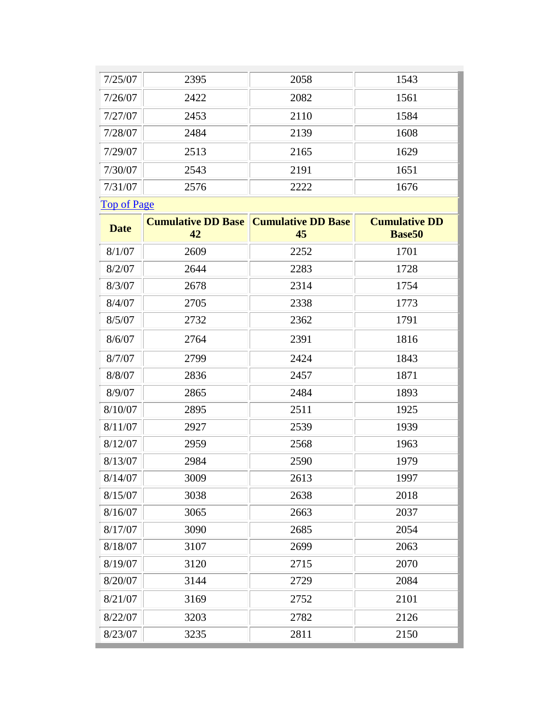| 7/25/07            | 2395                            | 2058                            | 1543                                  |
|--------------------|---------------------------------|---------------------------------|---------------------------------------|
| 7/26/07            | 2422                            | 2082                            | 1561                                  |
| 7/27/07            | 2453                            | 2110                            | 1584                                  |
| 7/28/07            | 2484                            | 2139                            | 1608                                  |
| 7/29/07            | 2513                            | 2165                            | 1629                                  |
| 7/30/07            | 2543                            | 2191                            | 1651                                  |
| 7/31/07            | 2576                            | 2222                            | 1676                                  |
| <b>Top of Page</b> |                                 |                                 |                                       |
| <b>Date</b>        | <b>Cumulative DD Base</b><br>42 | <b>Cumulative DD Base</b><br>45 | <b>Cumulative DD</b><br><b>Base50</b> |
| 8/1/07             | 2609                            | 2252                            | 1701                                  |
| 8/2/07             | 2644                            | 2283                            | 1728                                  |
| 8/3/07             | 2678                            | 2314                            | 1754                                  |
| 8/4/07             | 2705                            | 2338                            | 1773                                  |
| 8/5/07             | 2732                            | 2362                            | 1791                                  |
| 8/6/07             | 2764                            | 2391                            | 1816                                  |
| 8/7/07             | 2799                            | 2424                            | 1843                                  |
| 8/8/07             | 2836                            | 2457                            | 1871                                  |
| 8/9/07             | 2865                            | 2484                            | 1893                                  |
| 8/10/07            | 2895                            | 2511                            | 1925                                  |
| 8/11/07            | 2927                            | 2539                            | 1939                                  |
| 8/12/07            | 2959                            | 2568                            | 1963                                  |
| 8/13/07            | 2984                            | 2590                            | 1979                                  |
| 8/14/07            | 3009                            | 2613                            | 1997                                  |
| 8/15/07            | 3038                            | 2638                            | 2018                                  |
| 8/16/07            | 3065                            | 2663                            | 2037                                  |
| 8/17/07            | 3090                            | 2685                            | 2054                                  |
| 8/18/07            | 3107                            | 2699                            | 2063                                  |
| 8/19/07            | 3120                            | 2715                            | 2070                                  |
| 8/20/07            | 3144                            | 2729                            | 2084                                  |
| 8/21/07            | 3169                            | 2752                            | 2101                                  |
| 8/22/07            | 3203                            | 2782                            | 2126                                  |
| 8/23/07            | 3235                            | 2811                            | 2150                                  |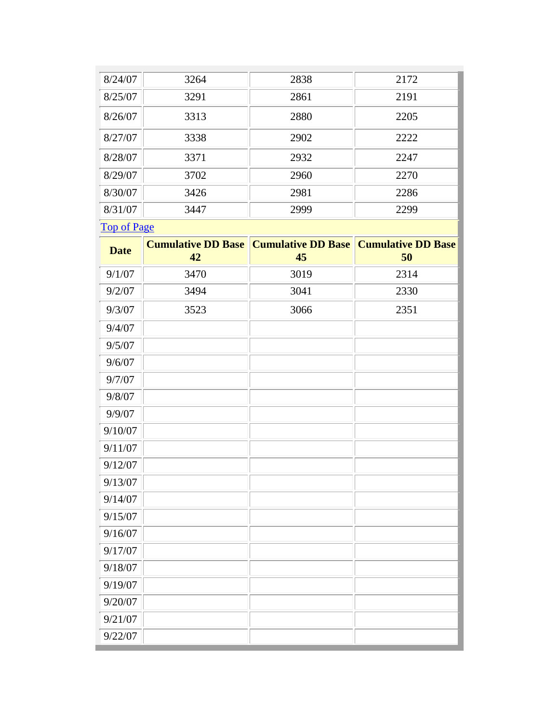| 8/24/07            | 3264                            | 2838                            | 2172                            |
|--------------------|---------------------------------|---------------------------------|---------------------------------|
| 8/25/07            | 3291                            | 2861                            | 2191                            |
| 8/26/07            | 3313                            | 2880                            | 2205                            |
| 8/27/07            | 3338                            | 2902                            | 2222                            |
| 8/28/07            | 3371                            | 2932                            | 2247                            |
| 8/29/07            | 3702                            | 2960                            | 2270                            |
| 8/30/07            | 3426                            | 2981                            | 2286                            |
| 8/31/07            | 3447                            | 2999                            | 2299                            |
| <b>Top of Page</b> |                                 |                                 |                                 |
| <b>Date</b>        | <b>Cumulative DD Base</b><br>42 | <b>Cumulative DD Base</b><br>45 | <b>Cumulative DD Base</b><br>50 |
| 9/1/07             | 3470                            | 3019                            | 2314                            |
| 9/2/07             | 3494                            | 3041                            | 2330                            |
| 9/3/07             | 3523                            | 3066                            | 2351                            |
| 9/4/07             |                                 |                                 |                                 |
| 9/5/07             |                                 |                                 |                                 |
| 9/6/07             |                                 |                                 |                                 |
| 9/7/07             |                                 |                                 |                                 |
| 9/8/07             |                                 |                                 |                                 |
| 9/9/07             |                                 |                                 |                                 |
| 9/10/07            |                                 |                                 |                                 |
| 9/11/07            |                                 |                                 |                                 |
| 9/12/07            |                                 |                                 |                                 |
| 9/13/07            |                                 |                                 |                                 |
| 9/14/07            |                                 |                                 |                                 |
| 9/15/07            |                                 |                                 |                                 |
| 9/16/07            |                                 |                                 |                                 |
| 9/17/07            |                                 |                                 |                                 |
| 9/18/07            |                                 |                                 |                                 |
| 9/19/07            |                                 |                                 |                                 |
| 9/20/07            |                                 |                                 |                                 |
| 9/21/07            |                                 |                                 |                                 |
| 9/22/07            |                                 |                                 |                                 |